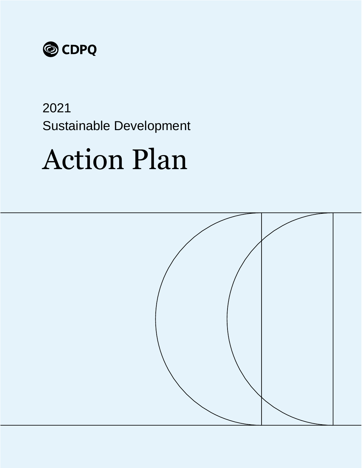

## 2021 Sustainable Development

# Action Plan

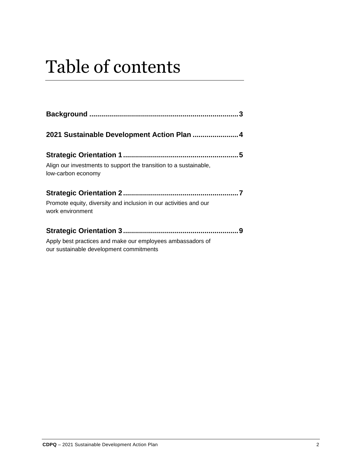## Table of contents

| Align our investments to support the transition to a sustainable,<br>low-carbon economy               |  |
|-------------------------------------------------------------------------------------------------------|--|
| Promote equity, diversity and inclusion in our activities and our<br>work environment                 |  |
| Apply best practices and make our employees ambassadors of<br>our sustainable development commitments |  |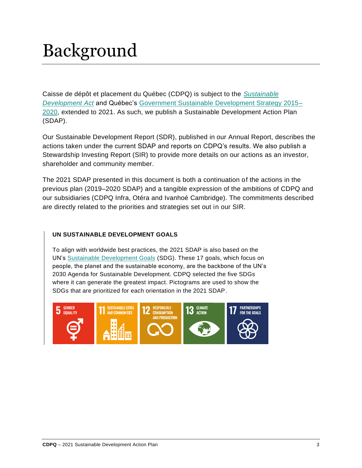## <span id="page-2-0"></span>Background

Caisse de dépôt et placement du Québec (CDPQ) is subject to the *[Sustainable](http://legisquebec.gouv.qc.ca/en/showdoc/cs/D-8.1.1)  [Development Act](http://legisquebec.gouv.qc.ca/en/showdoc/cs/D-8.1.1)* and Québec's [Government Sustainable Development Strategy 2015–](https://cdn-contenu.quebec.ca/cdn-contenu/adm/min/environnement/publications-adm/developpement-durable/strategie-dd-2015-2020.pdf?1582816783) [2020,](https://cdn-contenu.quebec.ca/cdn-contenu/adm/min/environnement/publications-adm/developpement-durable/strategie-dd-2015-2020.pdf?1582816783) extended to 2021. As such, we publish a Sustainable Development Action Plan (SDAP).

Our Sustainable Development Report (SDR), published in our Annual Report, describes the actions taken under the current SDAP and reports on CDPQ's results. We also publish a Stewardship Investing Report (SIR) to provide more details on our actions as an investor, shareholder and community member.

The 2021 SDAP presented in this document is both a continuation of the actions in the previous plan (2019–2020 SDAP) and a tangible expression of the ambitions of CDPQ and our subsidiaries (CDPQ Infra, Otéra and Ivanhoé Cambridge). The commitments described are directly related to the priorities and strategies set out in our SIR.

#### **UN SUSTAINABLE DEVELOPMENT GOALS**

To align with worldwide best practices, the 2021 SDAP is also based on the UN's [Sustainable Development Goals](https://www.un.org/sustainabledevelopment/sustainable-development-goals/) (SDG). These 17 goals, which focus on people, the planet and the sustainable economy, are the backbone of the UN's 2030 Agenda for Sustainable Development. CDPQ selected the five SDGs where it can generate the greatest impact. Pictograms are used to show the SDGs that are prioritized for each orientation in the 2021 SDAP.

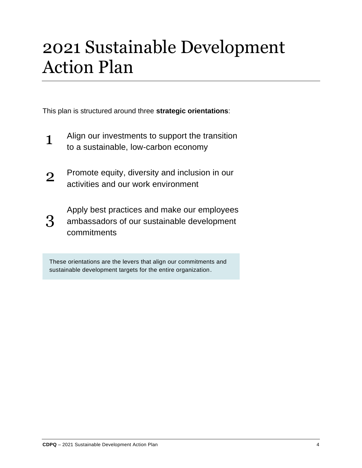## <span id="page-3-0"></span>2021 Sustainable Development Action Plan

This plan is structured around three **strategic orientations**:

- 1 Align our investments to support the transition to a sustainable, low-carbon economy
- 2 Promote equity, diversity and inclusion in our activities and our work environment
- 3 Apply best practices and make our employees ambassadors of our sustainable development commitments

These orientations are the levers that align our commitments and sustainable development targets for the entire organization.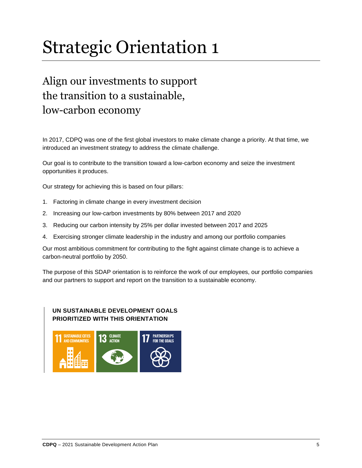## <span id="page-4-0"></span>Strategic Orientation 1

### <span id="page-4-1"></span>Align our investments to support the transition to a sustainable, low-carbon economy

In 2017, CDPQ was one of the first global investors to make climate change a priority. At that time, we introduced an investment strategy to address the climate challenge.

Our goal is to contribute to the transition toward a low-carbon economy and seize the investment opportunities it produces.

Our strategy for achieving this is based on four pillars:

- 1. Factoring in climate change in every investment decision
- 2. Increasing our low-carbon investments by 80% between 2017 and 2020
- 3. Reducing our carbon intensity by 25% per dollar invested between 2017 and 2025
- 4. Exercising stronger climate leadership in the industry and among our portfolio companies

Our most ambitious commitment for contributing to the fight against climate change is to achieve a carbon-neutral portfolio by 2050.

The purpose of this SDAP orientation is to reinforce the work of our employees, our portfolio companies and our partners to support and report on the transition to a sustainable economy.

#### **UN SUSTAINABLE DEVELOPMENT GOALS PRIORITIZED WITH THIS ORIENTATION**

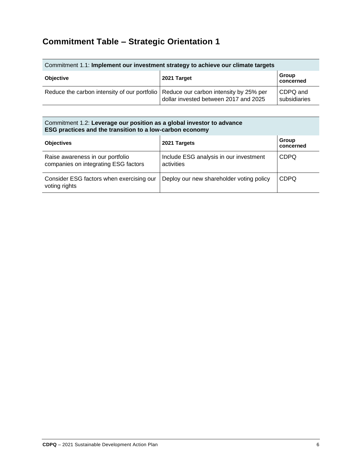### **Commitment Table – Strategic Orientation 1**

| Commitment 1.1: Implement our investment strategy to achieve our climate targets      |                                       |                          |
|---------------------------------------------------------------------------------------|---------------------------------------|--------------------------|
| <b>Objective</b>                                                                      | 2021 Target                           | Group<br>concerned       |
| Reduce the carbon intensity of our portfolio   Reduce our carbon intensity by 25% per | dollar invested between 2017 and 2025 | CDPQ and<br>subsidiaries |

#### Commitment 1.2: **Leverage our position as a global investor to advance ESG practices and the transition to a low-carbon economy**

| <b>Objectives</b>                                                        | 2021 Targets                                         | Group<br>concerned |
|--------------------------------------------------------------------------|------------------------------------------------------|--------------------|
| Raise awareness in our portfolio<br>companies on integrating ESG factors | Include ESG analysis in our investment<br>activities | <b>CDPQ</b>        |
| Consider ESG factors when exercising our<br>voting rights                | Deploy our new shareholder voting policy             | <b>CDPQ</b>        |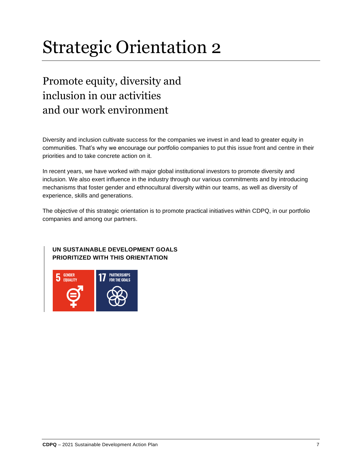## <span id="page-6-0"></span>Strategic Orientation 2

### <span id="page-6-1"></span>Promote equity, diversity and inclusion in our activities and our work environment

Diversity and inclusion cultivate success for the companies we invest in and lead to greater equity in communities. That's why we encourage our portfolio companies to put this issue front and centre in their priorities and to take concrete action on it.

In recent years, we have worked with major global institutional investors to promote diversity and inclusion. We also exert influence in the industry through our various commitments and by introducing mechanisms that foster gender and ethnocultural diversity within our teams, as well as diversity of experience, skills and generations.

The objective of this strategic orientation is to promote practical initiatives within CDPQ, in our portfolio companies and among our partners.

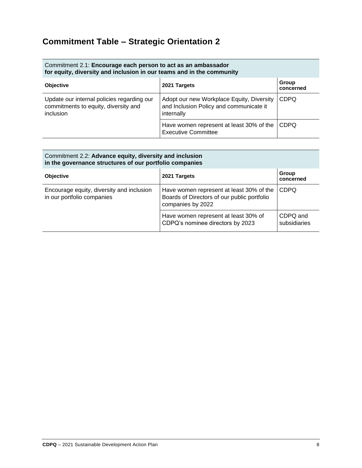### **Commitment Table – Strategic Orientation 2**

| Commitment 2.1: Encourage each person to act as an ambassador<br>for equity, diversity and inclusion in our teams and in the community |                                                                                                    |                    |
|----------------------------------------------------------------------------------------------------------------------------------------|----------------------------------------------------------------------------------------------------|--------------------|
| <b>Objective</b>                                                                                                                       | 2021 Targets                                                                                       | Group<br>concerned |
| Update our internal policies regarding our<br>commitments to equity, diversity and<br><i>inclusion</i>                                 | Adopt our new Workplace Equity, Diversity<br>and Inclusion Policy and communicate it<br>internally | <b>CDPQ</b>        |
|                                                                                                                                        | Have women represent at least 30% of the<br><b>Executive Committee</b>                             | <b>CDPQ</b>        |

| Commitment 2.2: Advance equity, diversity and inclusion<br>in the governance structures of our portfolio companies |                                                                                                              |                          |
|--------------------------------------------------------------------------------------------------------------------|--------------------------------------------------------------------------------------------------------------|--------------------------|
| <b>Objective</b>                                                                                                   | 2021 Targets                                                                                                 | Group<br>concerned       |
| Encourage equity, diversity and inclusion<br>in our portfolio companies                                            | Have women represent at least 30% of the<br>Boards of Directors of our public portfolio<br>companies by 2022 | <b>CDPQ</b>              |
|                                                                                                                    | Have women represent at least 30% of<br>CDPQ's nominee directors by 2023                                     | CDPQ and<br>subsidiaries |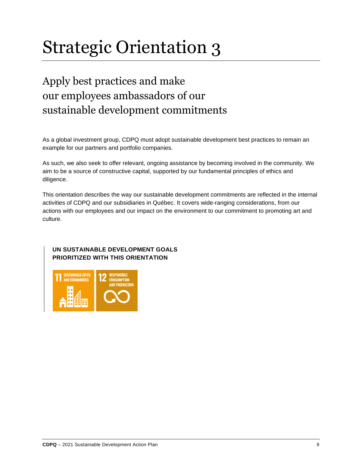## <span id="page-8-0"></span>Strategic Orientation 3

### <span id="page-8-1"></span>Apply best practices and make our employees ambassadors of our sustainable development commitments

As a global investment group, CDPQ must adopt sustainable development best practices to remain an example for our partners and portfolio companies.

As such, we also seek to offer relevant, ongoing assistance by becoming involved in the community. We aim to be a source of constructive capital, supported by our fundamental principles of ethics and diligence.

This orientation describes the way our sustainable development commitments are reflected in the internal activities of CDPQ and our subsidiaries in Québec. It covers wide-ranging considerations, from our actions with our employees and our impact on the environment to our commitment to promoting art and culture.

#### **UN SUSTAINABLE DEVELOPMENT GOALS PRIORITIZED WITH THIS ORIENTATION**

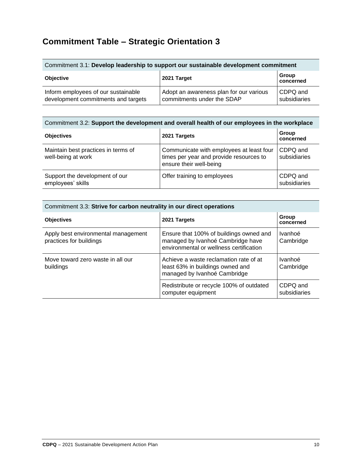### **Commitment Table – Strategic Orientation 3**

| Commitment 3.1: Develop leadership to support our sustainable development commitment |                                                                       |                          |
|--------------------------------------------------------------------------------------|-----------------------------------------------------------------------|--------------------------|
| <b>Objective</b>                                                                     | 2021 Target                                                           | Group<br>concerned       |
| Inform employees of our sustainable<br>development commitments and targets           | Adopt an awareness plan for our various<br>commitments under the SDAP | CDPQ and<br>subsidiaries |

| Commitment 3.2: Support the development and overall health of our employees in the workplace |                                                                                                                |                          |  |
|----------------------------------------------------------------------------------------------|----------------------------------------------------------------------------------------------------------------|--------------------------|--|
| <b>Objectives</b>                                                                            | 2021 Targets                                                                                                   | Group<br>concerned       |  |
| Maintain best practices in terms of<br>well-being at work                                    | Communicate with employees at least four<br>times per year and provide resources to<br>ensure their well-being | CDPQ and<br>subsidiaries |  |
| Support the development of our<br>employees' skills                                          | Offer training to employees                                                                                    | CDPQ and<br>subsidiaries |  |

| Commitment 3.3: Strive for carbon neutrality in our direct operations |                                                                                                                         |                          |
|-----------------------------------------------------------------------|-------------------------------------------------------------------------------------------------------------------------|--------------------------|
| <b>Objectives</b>                                                     | 2021 Targets                                                                                                            | Group<br>concerned       |
| Apply best environmental management<br>practices for buildings        | Ensure that 100% of buildings owned and<br>managed by Ivanhoé Cambridge have<br>environmental or wellness certification | Ivanhoé<br>Cambridge     |
| Move toward zero waste in all our<br>buildings                        | Achieve a waste reclamation rate of at<br>least 63% in buildings owned and<br>managed by Ivanhoé Cambridge              | Ivanhoé<br>Cambridge     |
|                                                                       | Redistribute or recycle 100% of outdated<br>computer equipment                                                          | CDPQ and<br>subsidiaries |